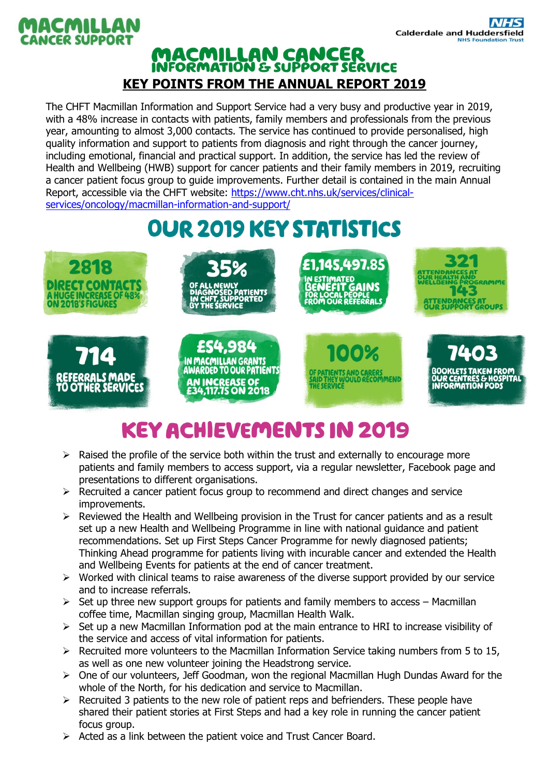

#### **MACMILLAN CANCER<br>INFORMATION & SUPPORT SERVICE KEY POINTS FROM THE ANNUAL REPORT 2019**

The CHFT Macmillan Information and Support Service had a very busy and productive year in 2019, with a 48% increase in contacts with patients, family members and professionals from the previous year, amounting to almost 3,000 contacts. The service has continued to provide personalised, high quality information and support to patients from diagnosis and right through the cancer journey, including emotional, financial and practical support. In addition, the service has led the review of Health and Wellbeing (HWB) support for cancer patients and their family members in 2019, recruiting a cancer patient focus group to guide improvements. Further detail is contained in the main Annual Report, accessible via the CHFT website: [https://www.cht.nhs.uk/services/clinical](https://www.cht.nhs.uk/services/clinical-services/oncology/macmillan-information-and-support/)[services/oncology/macmillan-information-and-support/](https://www.cht.nhs.uk/services/clinical-services/oncology/macmillan-information-and-support/)

# **OUR 2019 KEY STATISTICS**



### **KEY ACHIEVEMENTS IN 2019**

- $\triangleright$  Raised the profile of the service both within the trust and externally to encourage more patients and family members to access support, via a regular newsletter, Facebook page and presentations to different organisations.
- $\triangleright$  Recruited a cancer patient focus group to recommend and direct changes and service improvements.
- $\triangleright$  Reviewed the Health and Wellbeing provision in the Trust for cancer patients and as a result set up a new Health and Wellbeing Programme in line with national guidance and patient recommendations. Set up First Steps Cancer Programme for newly diagnosed patients; Thinking Ahead programme for patients living with incurable cancer and extended the Health and Wellbeing Events for patients at the end of cancer treatment.
- $\triangleright$  Worked with clinical teams to raise awareness of the diverse support provided by our service and to increase referrals.
- $\geq$  Set up three new support groups for patients and family members to access Macmillan coffee time, Macmillan singing group, Macmillan Health Walk.
- $\triangleright$  Set up a new Macmillan Information pod at the main entrance to HRI to increase visibility of the service and access of vital information for patients.
- $\triangleright$  Recruited more volunteers to the Macmillan Information Service taking numbers from 5 to 15, as well as one new volunteer joining the Headstrong service.
- $\triangleright$  One of our volunteers, Jeff Goodman, won the regional Macmillan Hugh Dundas Award for the whole of the North, for his dedication and service to Macmillan.
- $\triangleright$  Recruited 3 patients to the new role of patient reps and befrienders. These people have shared their patient stories at First Steps and had a key role in running the cancer patient focus group.
- $\triangleright$  Acted as a link between the patient voice and Trust Cancer Board.